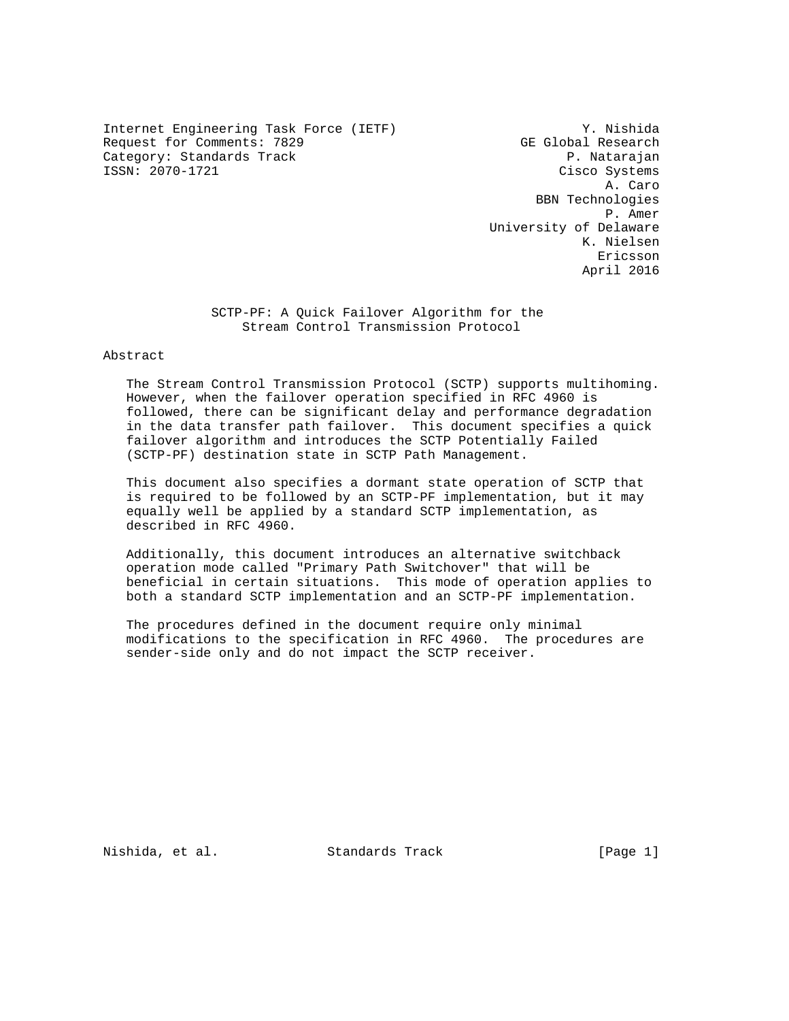Internet Engineering Task Force (IETF) Y. Nishida Request for Comments: 7829 GE Global Research Category: Standards Track extension of the property of the property of the P. Natarajan Cisco Systems

Cisco Systems A. Caro BBN Technologies P. Amer University of Delaware K. Nielsen eric and the contract of the contract of the contract of the contract of the contract of the contract of the contract of the contract of the contract of the contract of the contract of the contract of the contract of the c April 2016

> SCTP-PF: A Quick Failover Algorithm for the Stream Control Transmission Protocol

# Abstract

 The Stream Control Transmission Protocol (SCTP) supports multihoming. However, when the failover operation specified in RFC 4960 is followed, there can be significant delay and performance degradation in the data transfer path failover. This document specifies a quick failover algorithm and introduces the SCTP Potentially Failed (SCTP-PF) destination state in SCTP Path Management.

 This document also specifies a dormant state operation of SCTP that is required to be followed by an SCTP-PF implementation, but it may equally well be applied by a standard SCTP implementation, as described in RFC 4960.

 Additionally, this document introduces an alternative switchback operation mode called "Primary Path Switchover" that will be beneficial in certain situations. This mode of operation applies to both a standard SCTP implementation and an SCTP-PF implementation.

 The procedures defined in the document require only minimal modifications to the specification in RFC 4960. The procedures are sender-side only and do not impact the SCTP receiver.

Nishida, et al. Standards Track [Page 1]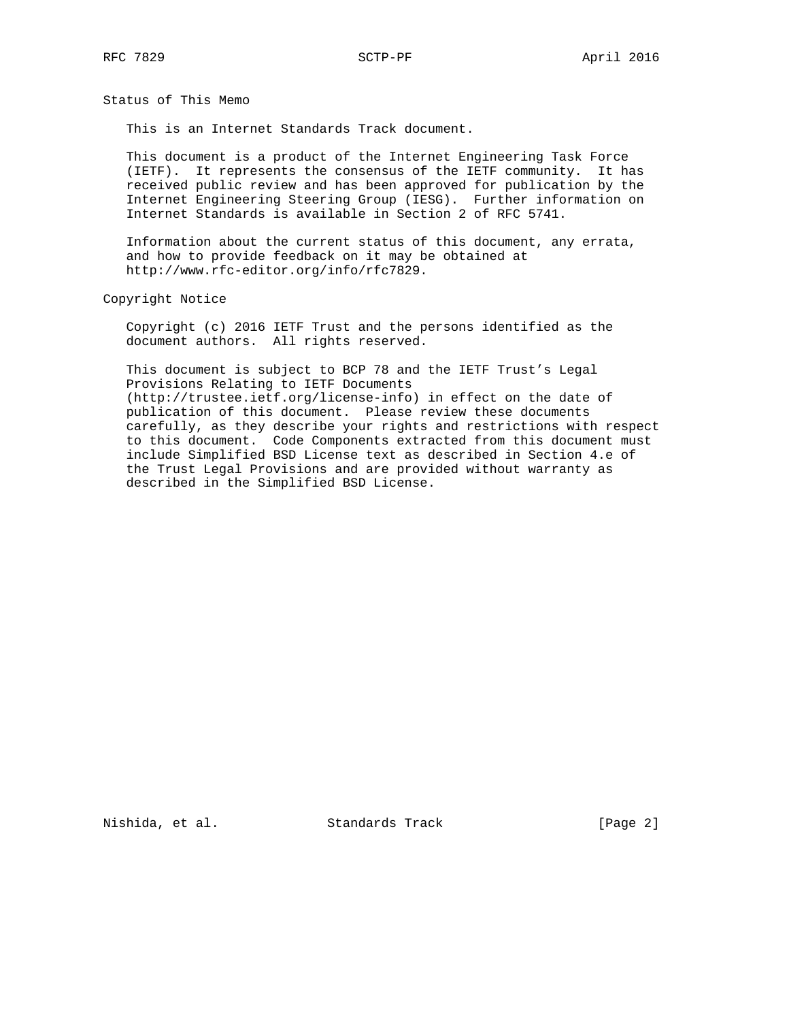Status of This Memo

This is an Internet Standards Track document.

 This document is a product of the Internet Engineering Task Force (IETF). It represents the consensus of the IETF community. It has received public review and has been approved for publication by the Internet Engineering Steering Group (IESG). Further information on Internet Standards is available in Section 2 of RFC 5741.

 Information about the current status of this document, any errata, and how to provide feedback on it may be obtained at http://www.rfc-editor.org/info/rfc7829.

Copyright Notice

 Copyright (c) 2016 IETF Trust and the persons identified as the document authors. All rights reserved.

 This document is subject to BCP 78 and the IETF Trust's Legal Provisions Relating to IETF Documents (http://trustee.ietf.org/license-info) in effect on the date of publication of this document. Please review these documents carefully, as they describe your rights and restrictions with respect to this document. Code Components extracted from this document must include Simplified BSD License text as described in Section 4.e of the Trust Legal Provisions and are provided without warranty as described in the Simplified BSD License.

Nishida, et al. Standards Track [Page 2]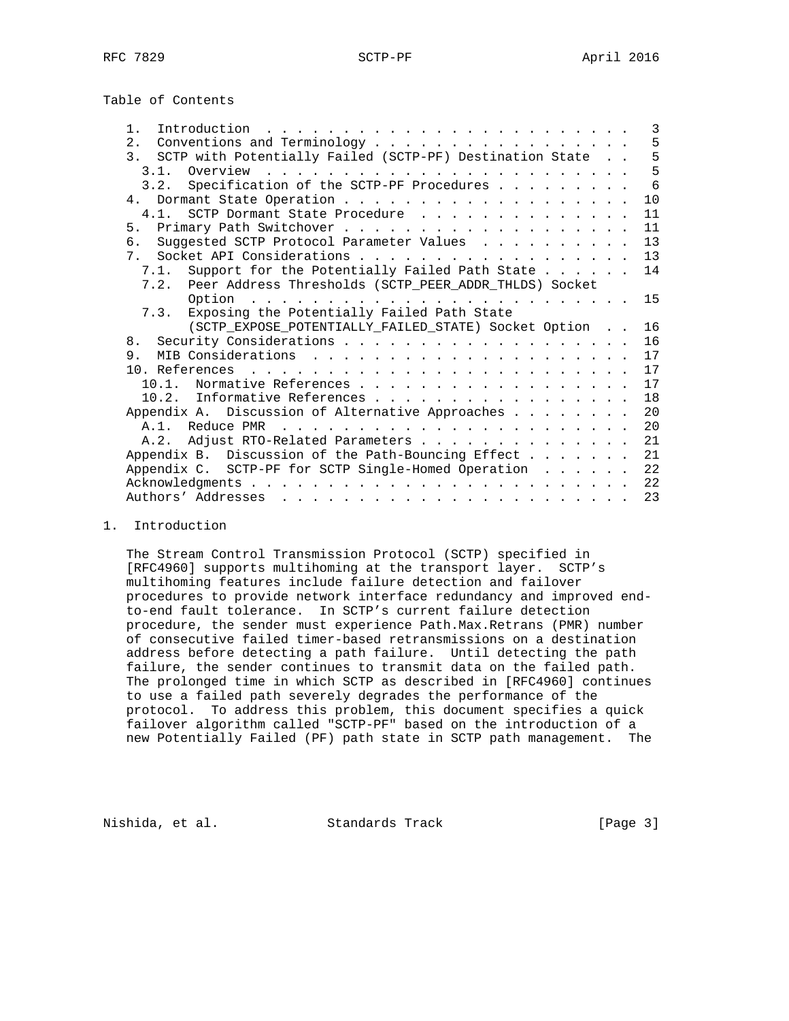| Introduction<br>$1$ .                                                                                                             | 3  |
|-----------------------------------------------------------------------------------------------------------------------------------|----|
| Conventions and Terminology<br>$2$ .                                                                                              | 5  |
| 3. SCTP with Potentially Failed (SCTP-PF) Destination State                                                                       | 5  |
| 3.1. Overview.<br>the contract of the contract of the contract of the contract of the contract of the contract of the contract of | 5  |
| Specification of the SCTP-PF Procedures<br>3.2.                                                                                   | 6  |
| 4 <sub>1</sub>                                                                                                                    | 10 |
| 4.1. SCTP Dormant State Procedure                                                                                                 | 11 |
|                                                                                                                                   | 11 |
| 6. Suggested SCTP Protocol Parameter Values                                                                                       | 13 |
|                                                                                                                                   | 13 |
| 7.1. Support for the Potentially Failed Path State                                                                                | 14 |
| 7.2. Peer Address Thresholds (SCTP_PEER_ADDR_THLDS) Socket                                                                        |    |
|                                                                                                                                   | 15 |
| Exposing the Potentially Failed Path State<br>7.3.                                                                                |    |
| (SCTP_EXPOSE_POTENTIALLY_FAILED_STATE) Socket Option                                                                              | 16 |
| 8 <sub>1</sub>                                                                                                                    | 16 |
| 9.                                                                                                                                | 17 |
| 10 References,                                                                                                                    | 17 |
| Normative References<br>10 1                                                                                                      | 17 |
| 10.2. Informative References                                                                                                      | 18 |
| Appendix A. Discussion of Alternative Approaches                                                                                  | 20 |
| A.1. Reduce PMR                                                                                                                   | 20 |
| Adjust RTO-Related Parameters<br>A.2.                                                                                             | 21 |
| Appendix B. Discussion of the Path-Bouncing Effect                                                                                | 21 |
| Appendix C. SCTP-PF for SCTP Single-Homed Operation                                                                               | 22 |
|                                                                                                                                   | 22 |
|                                                                                                                                   | 23 |
|                                                                                                                                   |    |

### 1. Introduction

 The Stream Control Transmission Protocol (SCTP) specified in [RFC4960] supports multihoming at the transport layer. SCTP's multihoming features include failure detection and failover procedures to provide network interface redundancy and improved end to-end fault tolerance. In SCTP's current failure detection procedure, the sender must experience Path.Max.Retrans (PMR) number of consecutive failed timer-based retransmissions on a destination address before detecting a path failure. Until detecting the path failure, the sender continues to transmit data on the failed path. The prolonged time in which SCTP as described in [RFC4960] continues to use a failed path severely degrades the performance of the protocol. To address this problem, this document specifies a quick failover algorithm called "SCTP-PF" based on the introduction of a new Potentially Failed (PF) path state in SCTP path management. The

Nishida, et al. Standards Track [Page 3]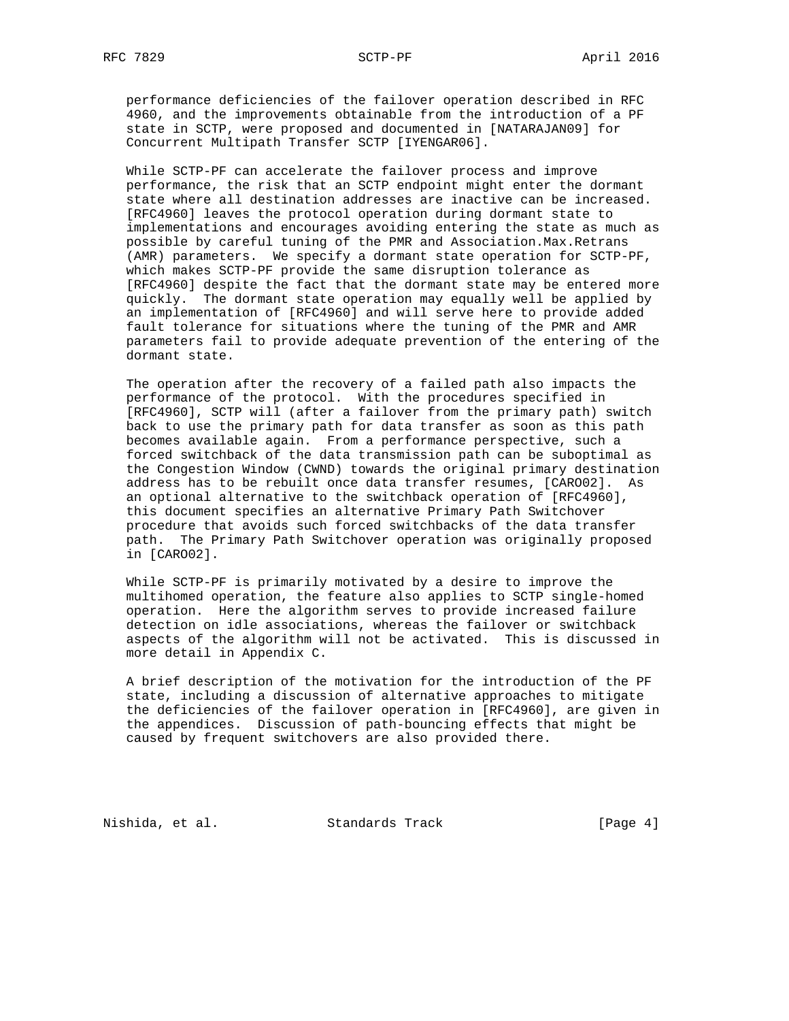performance deficiencies of the failover operation described in RFC 4960, and the improvements obtainable from the introduction of a PF state in SCTP, were proposed and documented in [NATARAJAN09] for Concurrent Multipath Transfer SCTP [IYENGAR06].

 While SCTP-PF can accelerate the failover process and improve performance, the risk that an SCTP endpoint might enter the dormant state where all destination addresses are inactive can be increased. [RFC4960] leaves the protocol operation during dormant state to implementations and encourages avoiding entering the state as much as possible by careful tuning of the PMR and Association.Max.Retrans (AMR) parameters. We specify a dormant state operation for SCTP-PF, which makes SCTP-PF provide the same disruption tolerance as [RFC4960] despite the fact that the dormant state may be entered more quickly. The dormant state operation may equally well be applied by an implementation of [RFC4960] and will serve here to provide added fault tolerance for situations where the tuning of the PMR and AMR parameters fail to provide adequate prevention of the entering of the dormant state.

 The operation after the recovery of a failed path also impacts the performance of the protocol. With the procedures specified in [RFC4960], SCTP will (after a failover from the primary path) switch back to use the primary path for data transfer as soon as this path becomes available again. From a performance perspective, such a forced switchback of the data transmission path can be suboptimal as the Congestion Window (CWND) towards the original primary destination address has to be rebuilt once data transfer resumes, [CARO02]. As an optional alternative to the switchback operation of [RFC4960], this document specifies an alternative Primary Path Switchover procedure that avoids such forced switchbacks of the data transfer path. The Primary Path Switchover operation was originally proposed in [CARO02].

 While SCTP-PF is primarily motivated by a desire to improve the multihomed operation, the feature also applies to SCTP single-homed operation. Here the algorithm serves to provide increased failure detection on idle associations, whereas the failover or switchback aspects of the algorithm will not be activated. This is discussed in more detail in Appendix C.

 A brief description of the motivation for the introduction of the PF state, including a discussion of alternative approaches to mitigate the deficiencies of the failover operation in [RFC4960], are given in the appendices. Discussion of path-bouncing effects that might be caused by frequent switchovers are also provided there.

Nishida, et al. Standards Track [Page 4]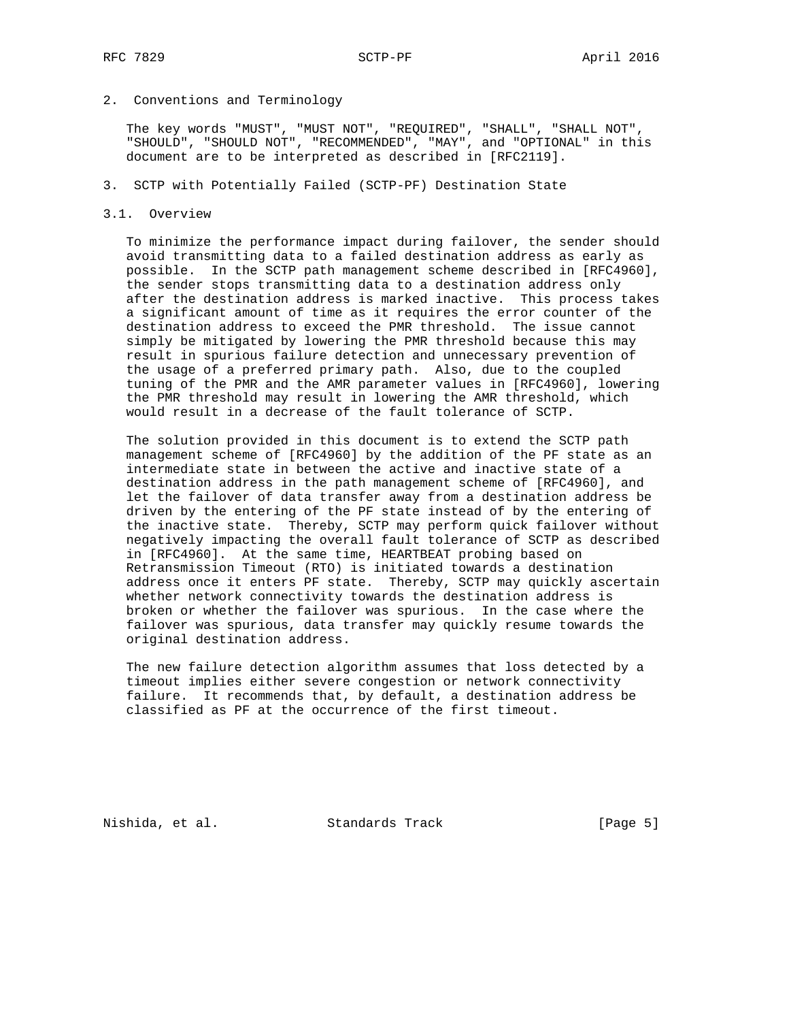## 2. Conventions and Terminology

 The key words "MUST", "MUST NOT", "REQUIRED", "SHALL", "SHALL NOT", "SHOULD", "SHOULD NOT", "RECOMMENDED", "MAY", and "OPTIONAL" in this document are to be interpreted as described in [RFC2119].

## 3. SCTP with Potentially Failed (SCTP-PF) Destination State

#### 3.1. Overview

 To minimize the performance impact during failover, the sender should avoid transmitting data to a failed destination address as early as possible. In the SCTP path management scheme described in [RFC4960], the sender stops transmitting data to a destination address only after the destination address is marked inactive. This process takes a significant amount of time as it requires the error counter of the destination address to exceed the PMR threshold. The issue cannot simply be mitigated by lowering the PMR threshold because this may result in spurious failure detection and unnecessary prevention of the usage of a preferred primary path. Also, due to the coupled tuning of the PMR and the AMR parameter values in [RFC4960], lowering the PMR threshold may result in lowering the AMR threshold, which would result in a decrease of the fault tolerance of SCTP.

 The solution provided in this document is to extend the SCTP path management scheme of [RFC4960] by the addition of the PF state as an intermediate state in between the active and inactive state of a destination address in the path management scheme of [RFC4960], and let the failover of data transfer away from a destination address be driven by the entering of the PF state instead of by the entering of the inactive state. Thereby, SCTP may perform quick failover without negatively impacting the overall fault tolerance of SCTP as described in [RFC4960]. At the same time, HEARTBEAT probing based on Retransmission Timeout (RTO) is initiated towards a destination address once it enters PF state. Thereby, SCTP may quickly ascertain whether network connectivity towards the destination address is broken or whether the failover was spurious. In the case where the failover was spurious, data transfer may quickly resume towards the original destination address.

 The new failure detection algorithm assumes that loss detected by a timeout implies either severe congestion or network connectivity failure. It recommends that, by default, a destination address be classified as PF at the occurrence of the first timeout.

Nishida, et al. Standards Track [Page 5]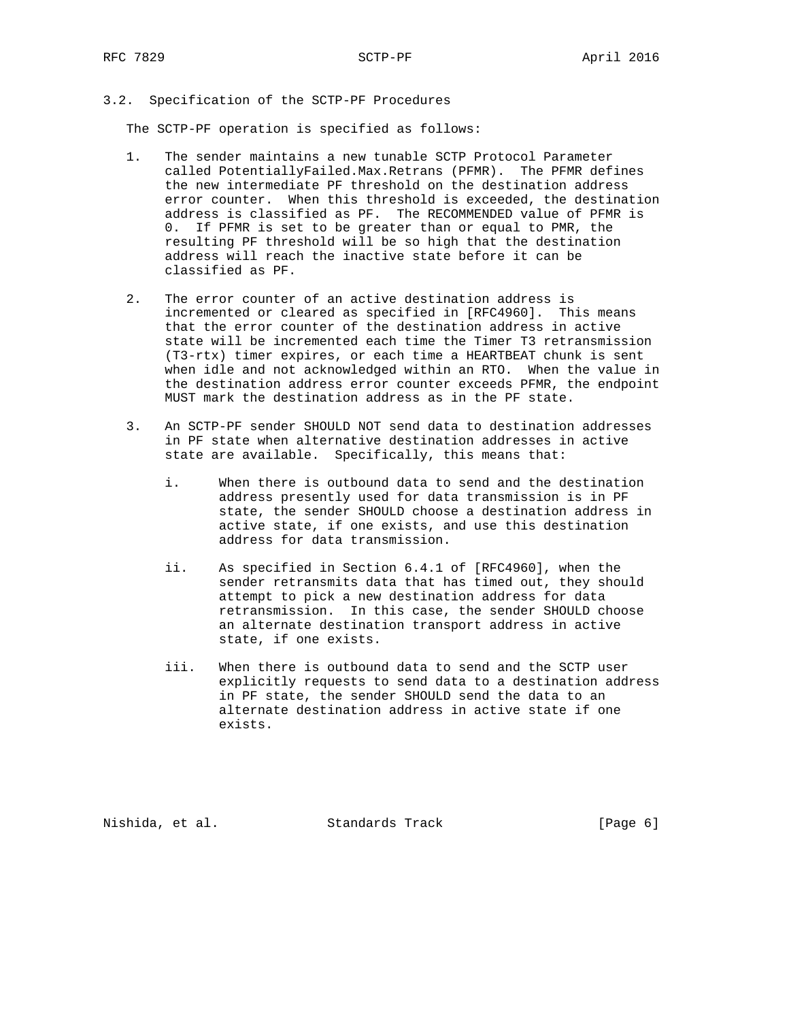# 3.2. Specification of the SCTP-PF Procedures

The SCTP-PF operation is specified as follows:

- 1. The sender maintains a new tunable SCTP Protocol Parameter called PotentiallyFailed.Max.Retrans (PFMR). The PFMR defines the new intermediate PF threshold on the destination address error counter. When this threshold is exceeded, the destination address is classified as PF. The RECOMMENDED value of PFMR is 0. If PFMR is set to be greater than or equal to PMR, the resulting PF threshold will be so high that the destination address will reach the inactive state before it can be classified as PF.
- 2. The error counter of an active destination address is incremented or cleared as specified in [RFC4960]. This means that the error counter of the destination address in active state will be incremented each time the Timer T3 retransmission (T3-rtx) timer expires, or each time a HEARTBEAT chunk is sent when idle and not acknowledged within an RTO. When the value in the destination address error counter exceeds PFMR, the endpoint MUST mark the destination address as in the PF state.
- 3. An SCTP-PF sender SHOULD NOT send data to destination addresses in PF state when alternative destination addresses in active state are available. Specifically, this means that:
	- i. When there is outbound data to send and the destination address presently used for data transmission is in PF state, the sender SHOULD choose a destination address in active state, if one exists, and use this destination address for data transmission.
	- ii. As specified in Section 6.4.1 of [RFC4960], when the sender retransmits data that has timed out, they should attempt to pick a new destination address for data retransmission. In this case, the sender SHOULD choose an alternate destination transport address in active state, if one exists.
	- iii. When there is outbound data to send and the SCTP user explicitly requests to send data to a destination address in PF state, the sender SHOULD send the data to an alternate destination address in active state if one exists.

Nishida, et al. Standards Track (Page 6)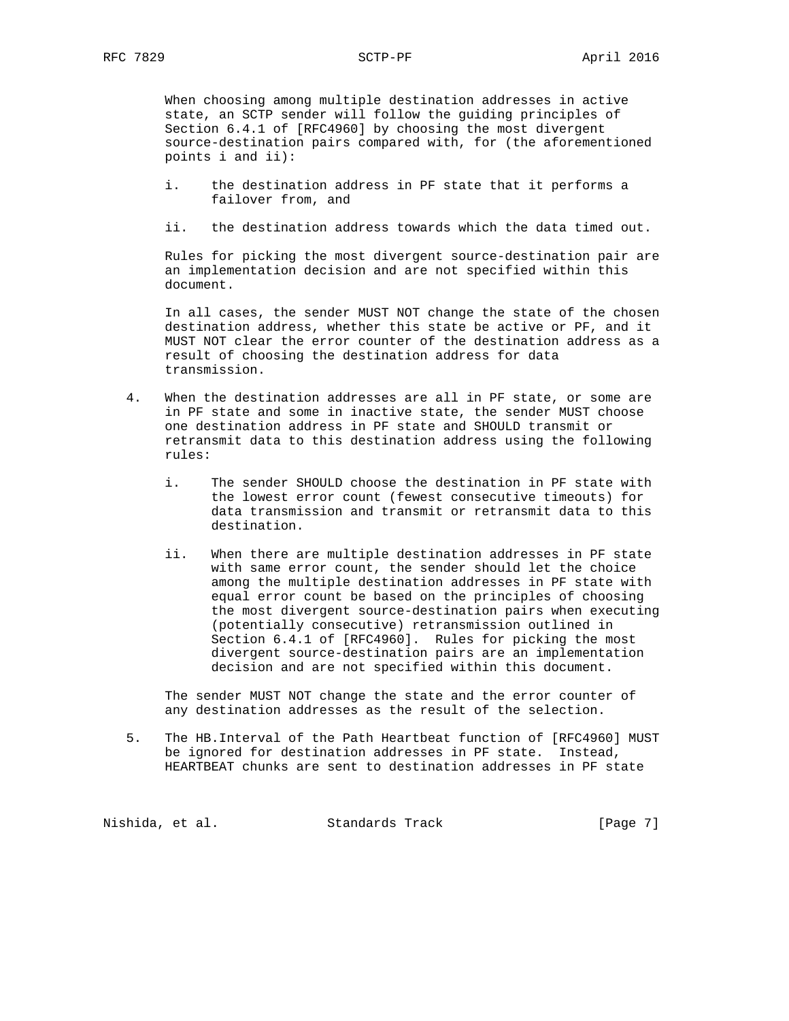When choosing among multiple destination addresses in active state, an SCTP sender will follow the guiding principles of Section 6.4.1 of [RFC4960] by choosing the most divergent source-destination pairs compared with, for (the aforementioned points i and ii):

- i. the destination address in PF state that it performs a failover from, and
- ii. the destination address towards which the data timed out.

 Rules for picking the most divergent source-destination pair are an implementation decision and are not specified within this document.

 In all cases, the sender MUST NOT change the state of the chosen destination address, whether this state be active or PF, and it MUST NOT clear the error counter of the destination address as a result of choosing the destination address for data transmission.

- 4. When the destination addresses are all in PF state, or some are in PF state and some in inactive state, the sender MUST choose one destination address in PF state and SHOULD transmit or retransmit data to this destination address using the following rules:
	- i. The sender SHOULD choose the destination in PF state with the lowest error count (fewest consecutive timeouts) for data transmission and transmit or retransmit data to this destination.
	- ii. When there are multiple destination addresses in PF state with same error count, the sender should let the choice among the multiple destination addresses in PF state with equal error count be based on the principles of choosing the most divergent source-destination pairs when executing (potentially consecutive) retransmission outlined in Section 6.4.1 of [RFC4960]. Rules for picking the most divergent source-destination pairs are an implementation decision and are not specified within this document.

 The sender MUST NOT change the state and the error counter of any destination addresses as the result of the selection.

 5. The HB.Interval of the Path Heartbeat function of [RFC4960] MUST be ignored for destination addresses in PF state. Instead, HEARTBEAT chunks are sent to destination addresses in PF state

Nishida, et al. Standards Track [Page 7]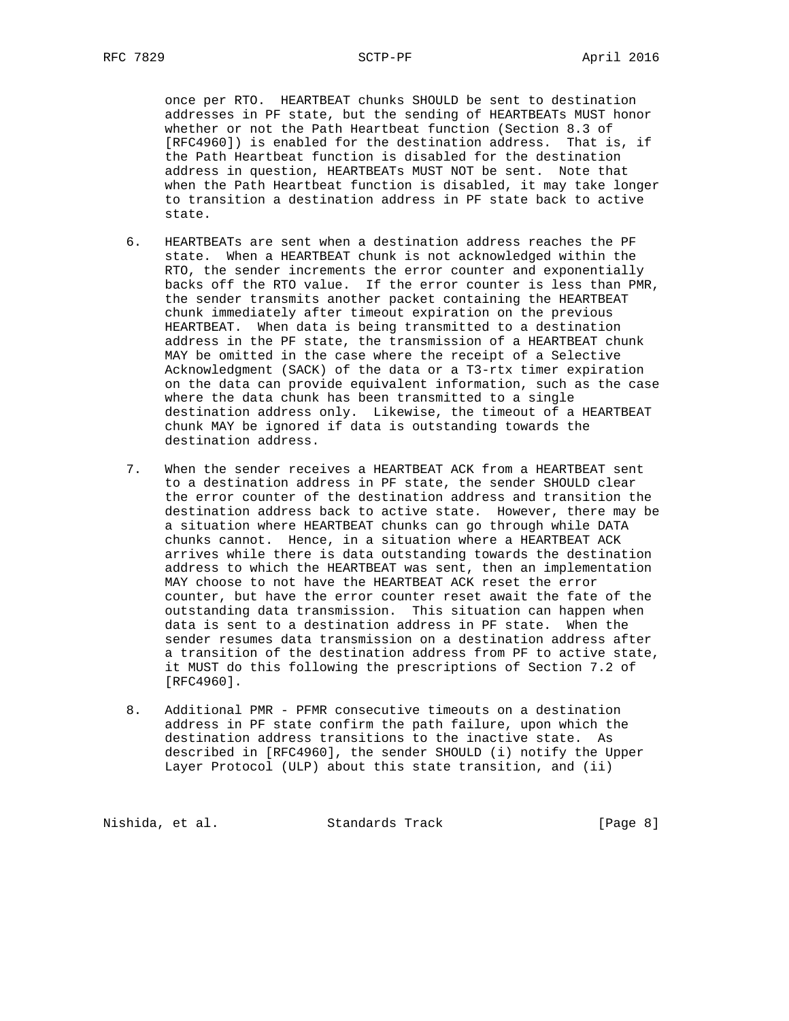once per RTO. HEARTBEAT chunks SHOULD be sent to destination addresses in PF state, but the sending of HEARTBEATs MUST honor whether or not the Path Heartbeat function (Section 8.3 of [RFC4960]) is enabled for the destination address. That is, if the Path Heartbeat function is disabled for the destination address in question, HEARTBEATs MUST NOT be sent. Note that when the Path Heartbeat function is disabled, it may take longer to transition a destination address in PF state back to active state.

- 6. HEARTBEATs are sent when a destination address reaches the PF state. When a HEARTBEAT chunk is not acknowledged within the RTO, the sender increments the error counter and exponentially backs off the RTO value. If the error counter is less than PMR, the sender transmits another packet containing the HEARTBEAT chunk immediately after timeout expiration on the previous HEARTBEAT. When data is being transmitted to a destination address in the PF state, the transmission of a HEARTBEAT chunk MAY be omitted in the case where the receipt of a Selective Acknowledgment (SACK) of the data or a T3-rtx timer expiration on the data can provide equivalent information, such as the case where the data chunk has been transmitted to a single destination address only. Likewise, the timeout of a HEARTBEAT chunk MAY be ignored if data is outstanding towards the destination address.
- 7. When the sender receives a HEARTBEAT ACK from a HEARTBEAT sent to a destination address in PF state, the sender SHOULD clear the error counter of the destination address and transition the destination address back to active state. However, there may be a situation where HEARTBEAT chunks can go through while DATA chunks cannot. Hence, in a situation where a HEARTBEAT ACK arrives while there is data outstanding towards the destination address to which the HEARTBEAT was sent, then an implementation MAY choose to not have the HEARTBEAT ACK reset the error counter, but have the error counter reset await the fate of the outstanding data transmission. This situation can happen when data is sent to a destination address in PF state. When the sender resumes data transmission on a destination address after a transition of the destination address from PF to active state, it MUST do this following the prescriptions of Section 7.2 of [RFC4960].
- 8. Additional PMR PFMR consecutive timeouts on a destination address in PF state confirm the path failure, upon which the destination address transitions to the inactive state. As described in [RFC4960], the sender SHOULD (i) notify the Upper Layer Protocol (ULP) about this state transition, and (ii)

Nishida, et al. Standards Track [Page 8]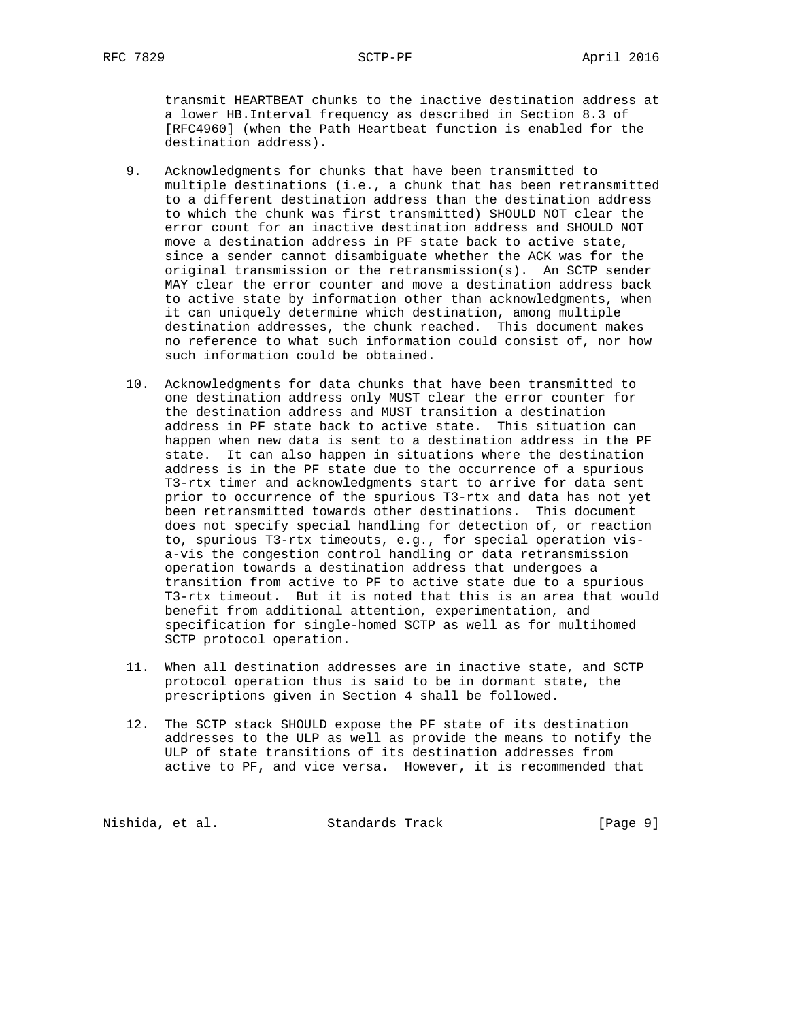transmit HEARTBEAT chunks to the inactive destination address at a lower HB.Interval frequency as described in Section 8.3 of [RFC4960] (when the Path Heartbeat function is enabled for the destination address).

- 9. Acknowledgments for chunks that have been transmitted to multiple destinations (i.e., a chunk that has been retransmitted to a different destination address than the destination address to which the chunk was first transmitted) SHOULD NOT clear the error count for an inactive destination address and SHOULD NOT move a destination address in PF state back to active state, since a sender cannot disambiguate whether the ACK was for the original transmission or the retransmission(s). An SCTP sender MAY clear the error counter and move a destination address back to active state by information other than acknowledgments, when it can uniquely determine which destination, among multiple destination addresses, the chunk reached. This document makes no reference to what such information could consist of, nor how such information could be obtained.
- 10. Acknowledgments for data chunks that have been transmitted to one destination address only MUST clear the error counter for the destination address and MUST transition a destination address in PF state back to active state. This situation can happen when new data is sent to a destination address in the PF state. It can also happen in situations where the destination address is in the PF state due to the occurrence of a spurious T3-rtx timer and acknowledgments start to arrive for data sent prior to occurrence of the spurious T3-rtx and data has not yet been retransmitted towards other destinations. This document does not specify special handling for detection of, or reaction to, spurious T3-rtx timeouts, e.g., for special operation vis a-vis the congestion control handling or data retransmission operation towards a destination address that undergoes a transition from active to PF to active state due to a spurious T3-rtx timeout. But it is noted that this is an area that would benefit from additional attention, experimentation, and specification for single-homed SCTP as well as for multihomed SCTP protocol operation.
- 11. When all destination addresses are in inactive state, and SCTP protocol operation thus is said to be in dormant state, the prescriptions given in Section 4 shall be followed.
- 12. The SCTP stack SHOULD expose the PF state of its destination addresses to the ULP as well as provide the means to notify the ULP of state transitions of its destination addresses from active to PF, and vice versa. However, it is recommended that

Nishida, et al. Standards Track [Page 9]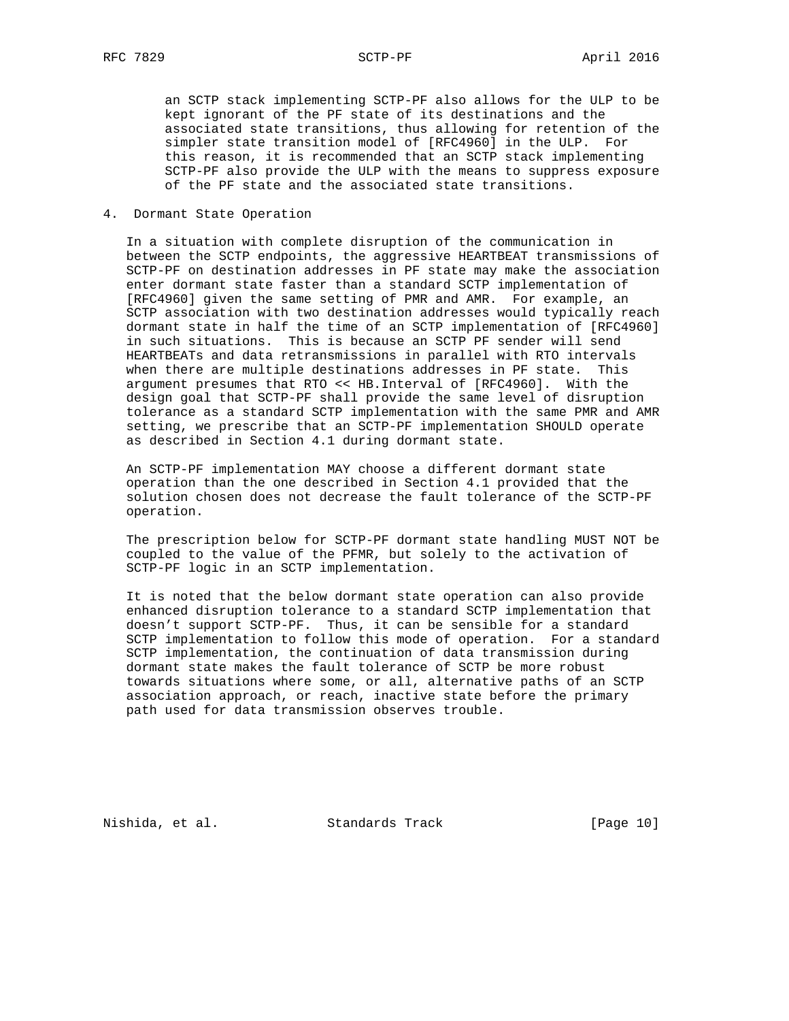an SCTP stack implementing SCTP-PF also allows for the ULP to be kept ignorant of the PF state of its destinations and the associated state transitions, thus allowing for retention of the simpler state transition model of [RFC4960] in the ULP. For this reason, it is recommended that an SCTP stack implementing SCTP-PF also provide the ULP with the means to suppress exposure of the PF state and the associated state transitions.

## 4. Dormant State Operation

 In a situation with complete disruption of the communication in between the SCTP endpoints, the aggressive HEARTBEAT transmissions of SCTP-PF on destination addresses in PF state may make the association enter dormant state faster than a standard SCTP implementation of [RFC4960] given the same setting of PMR and AMR. For example, an SCTP association with two destination addresses would typically reach dormant state in half the time of an SCTP implementation of [RFC4960] in such situations. This is because an SCTP PF sender will send HEARTBEATs and data retransmissions in parallel with RTO intervals when there are multiple destinations addresses in PF state. This argument presumes that RTO << HB.Interval of [RFC4960]. With the design goal that SCTP-PF shall provide the same level of disruption tolerance as a standard SCTP implementation with the same PMR and AMR setting, we prescribe that an SCTP-PF implementation SHOULD operate as described in Section 4.1 during dormant state.

 An SCTP-PF implementation MAY choose a different dormant state operation than the one described in Section 4.1 provided that the solution chosen does not decrease the fault tolerance of the SCTP-PF operation.

 The prescription below for SCTP-PF dormant state handling MUST NOT be coupled to the value of the PFMR, but solely to the activation of SCTP-PF logic in an SCTP implementation.

 It is noted that the below dormant state operation can also provide enhanced disruption tolerance to a standard SCTP implementation that doesn't support SCTP-PF. Thus, it can be sensible for a standard SCTP implementation to follow this mode of operation. For a standard SCTP implementation, the continuation of data transmission during dormant state makes the fault tolerance of SCTP be more robust towards situations where some, or all, alternative paths of an SCTP association approach, or reach, inactive state before the primary path used for data transmission observes trouble.

Nishida, et al. Standards Track [Page 10]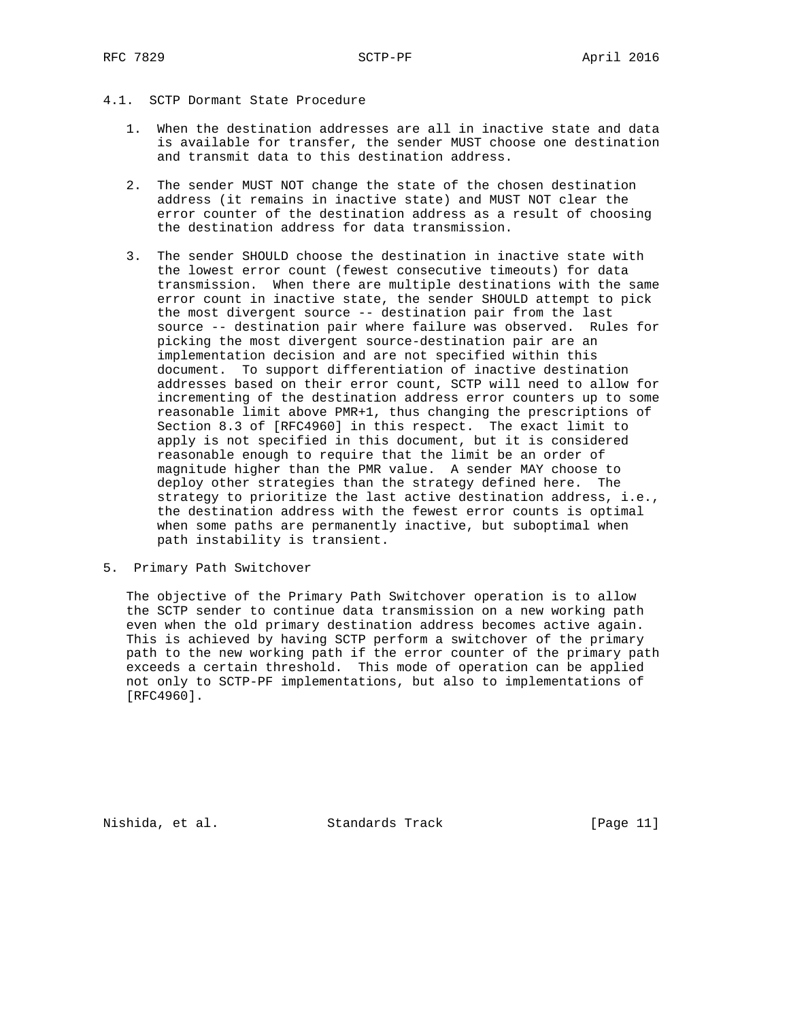# 4.1. SCTP Dormant State Procedure

- 1. When the destination addresses are all in inactive state and data is available for transfer, the sender MUST choose one destination and transmit data to this destination address.
- 2. The sender MUST NOT change the state of the chosen destination address (it remains in inactive state) and MUST NOT clear the error counter of the destination address as a result of choosing the destination address for data transmission.
- 3. The sender SHOULD choose the destination in inactive state with the lowest error count (fewest consecutive timeouts) for data transmission. When there are multiple destinations with the same error count in inactive state, the sender SHOULD attempt to pick the most divergent source -- destination pair from the last source -- destination pair where failure was observed. Rules for picking the most divergent source-destination pair are an implementation decision and are not specified within this document. To support differentiation of inactive destination addresses based on their error count, SCTP will need to allow for incrementing of the destination address error counters up to some reasonable limit above PMR+1, thus changing the prescriptions of Section 8.3 of [RFC4960] in this respect. The exact limit to apply is not specified in this document, but it is considered reasonable enough to require that the limit be an order of magnitude higher than the PMR value. A sender MAY choose to deploy other strategies than the strategy defined here. The strategy to prioritize the last active destination address, i.e., the destination address with the fewest error counts is optimal when some paths are permanently inactive, but suboptimal when path instability is transient.
- 5. Primary Path Switchover

 The objective of the Primary Path Switchover operation is to allow the SCTP sender to continue data transmission on a new working path even when the old primary destination address becomes active again. This is achieved by having SCTP perform a switchover of the primary path to the new working path if the error counter of the primary path exceeds a certain threshold. This mode of operation can be applied not only to SCTP-PF implementations, but also to implementations of [RFC4960].

Nishida, et al. Standards Track [Page 11]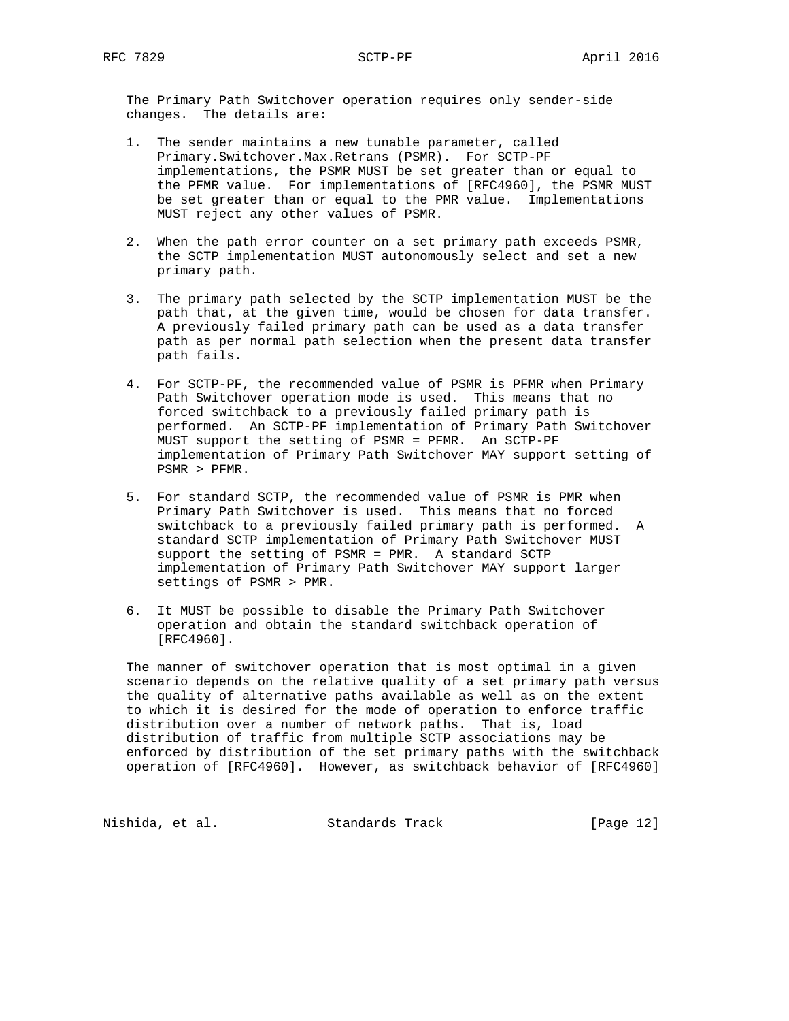The Primary Path Switchover operation requires only sender-side changes. The details are:

- 1. The sender maintains a new tunable parameter, called Primary.Switchover.Max.Retrans (PSMR). For SCTP-PF implementations, the PSMR MUST be set greater than or equal to the PFMR value. For implementations of [RFC4960], the PSMR MUST be set greater than or equal to the PMR value. Implementations MUST reject any other values of PSMR.
- 2. When the path error counter on a set primary path exceeds PSMR, the SCTP implementation MUST autonomously select and set a new primary path.
- 3. The primary path selected by the SCTP implementation MUST be the path that, at the given time, would be chosen for data transfer. A previously failed primary path can be used as a data transfer path as per normal path selection when the present data transfer path fails.
- 4. For SCTP-PF, the recommended value of PSMR is PFMR when Primary Path Switchover operation mode is used. This means that no forced switchback to a previously failed primary path is performed. An SCTP-PF implementation of Primary Path Switchover MUST support the setting of PSMR = PFMR. An SCTP-PF implementation of Primary Path Switchover MAY support setting of PSMR > PFMR.
- 5. For standard SCTP, the recommended value of PSMR is PMR when Primary Path Switchover is used. This means that no forced switchback to a previously failed primary path is performed. A standard SCTP implementation of Primary Path Switchover MUST support the setting of PSMR = PMR. A standard SCTP implementation of Primary Path Switchover MAY support larger settings of PSMR > PMR.
- 6. It MUST be possible to disable the Primary Path Switchover operation and obtain the standard switchback operation of [RFC4960].

 The manner of switchover operation that is most optimal in a given scenario depends on the relative quality of a set primary path versus the quality of alternative paths available as well as on the extent to which it is desired for the mode of operation to enforce traffic distribution over a number of network paths. That is, load distribution of traffic from multiple SCTP associations may be enforced by distribution of the set primary paths with the switchback operation of [RFC4960]. However, as switchback behavior of [RFC4960]

Nishida, et al. Standards Track [Page 12]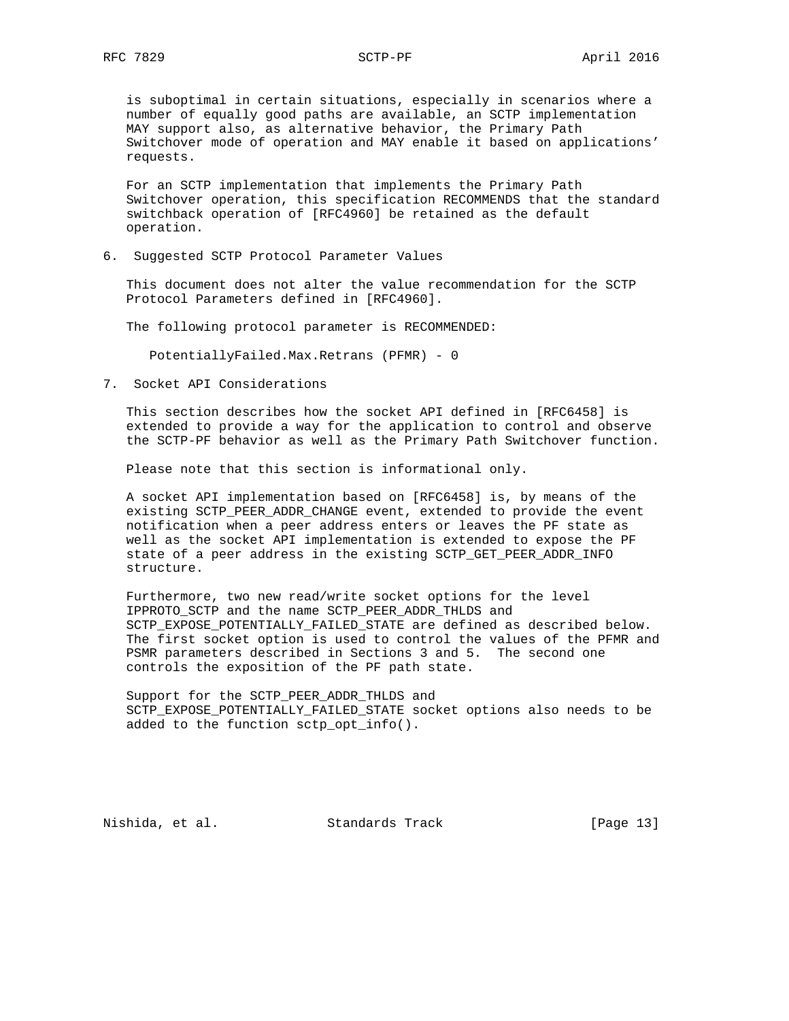is suboptimal in certain situations, especially in scenarios where a number of equally good paths are available, an SCTP implementation MAY support also, as alternative behavior, the Primary Path Switchover mode of operation and MAY enable it based on applications' requests.

 For an SCTP implementation that implements the Primary Path Switchover operation, this specification RECOMMENDS that the standard switchback operation of [RFC4960] be retained as the default operation.

6. Suggested SCTP Protocol Parameter Values

 This document does not alter the value recommendation for the SCTP Protocol Parameters defined in [RFC4960].

The following protocol parameter is RECOMMENDED:

PotentiallyFailed.Max.Retrans (PFMR) - 0

7. Socket API Considerations

 This section describes how the socket API defined in [RFC6458] is extended to provide a way for the application to control and observe the SCTP-PF behavior as well as the Primary Path Switchover function.

Please note that this section is informational only.

 A socket API implementation based on [RFC6458] is, by means of the existing SCTP\_PEER\_ADDR\_CHANGE event, extended to provide the event notification when a peer address enters or leaves the PF state as well as the socket API implementation is extended to expose the PF state of a peer address in the existing SCTP\_GET\_PEER\_ADDR\_INFO structure.

 Furthermore, two new read/write socket options for the level IPPROTO\_SCTP and the name SCTP\_PEER\_ADDR\_THLDS and SCTP\_EXPOSE\_POTENTIALLY\_FAILED\_STATE are defined as described below. The first socket option is used to control the values of the PFMR and PSMR parameters described in Sections 3 and 5. The second one controls the exposition of the PF path state.

 Support for the SCTP\_PEER\_ADDR\_THLDS and SCTP\_EXPOSE\_POTENTIALLY\_FAILED\_STATE socket options also needs to be added to the function sctp\_opt\_info().

Nishida, et al. Standards Track [Page 13]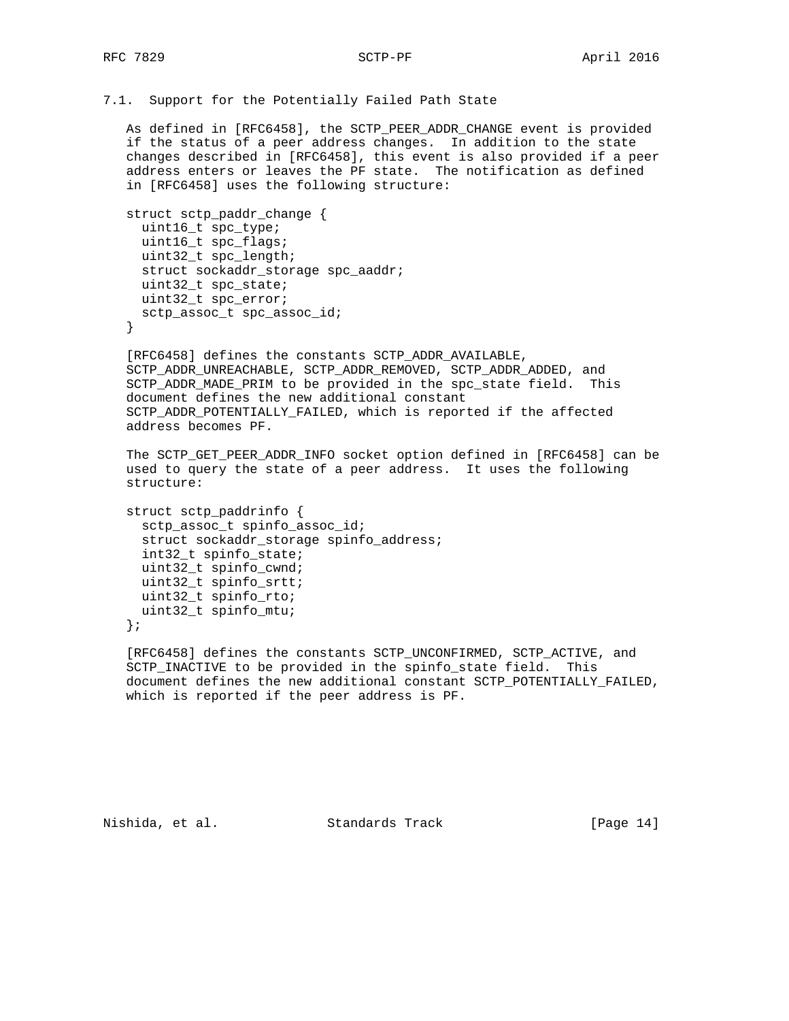```
7.1. Support for the Potentially Failed Path State
```
 As defined in [RFC6458], the SCTP\_PEER\_ADDR\_CHANGE event is provided if the status of a peer address changes. In addition to the state changes described in [RFC6458], this event is also provided if a peer address enters or leaves the PF state. The notification as defined in [RFC6458] uses the following structure:

```
 struct sctp_paddr_change {
 uint16_t spc_type;
 uint16_t spc_flags;
 uint32_t spc_length;
 struct sockaddr_storage spc_aaddr;
 uint32_t spc_state;
 uint32_t spc_error;
 sctp_assoc_t spc_assoc_id;
}
```
 [RFC6458] defines the constants SCTP\_ADDR\_AVAILABLE, SCTP\_ADDR\_UNREACHABLE, SCTP\_ADDR\_REMOVED, SCTP\_ADDR\_ADDED, and SCTP\_ADDR\_MADE\_PRIM to be provided in the spc\_state field. This document defines the new additional constant SCTP\_ADDR\_POTENTIALLY\_FAILED, which is reported if the affected address becomes PF.

 The SCTP\_GET\_PEER\_ADDR\_INFO socket option defined in [RFC6458] can be used to query the state of a peer address. It uses the following structure:

```
 struct sctp_paddrinfo {
 sctp_assoc_t spinfo_assoc_id;
 struct sockaddr_storage spinfo_address;
 int32_t spinfo_state;
uint32 t spinfo cwnd;
 uint32_t spinfo_srtt;
 uint32_t spinfo_rto;
 uint32_t spinfo_mtu;
```
};

[RFC6458] defines the constants SCTP UNCONFIRMED, SCTP ACTIVE, and SCTP\_INACTIVE to be provided in the spinfo\_state field. This document defines the new additional constant SCTP\_POTENTIALLY\_FAILED, which is reported if the peer address is PF.

Nishida, et al. Standards Track [Page 14]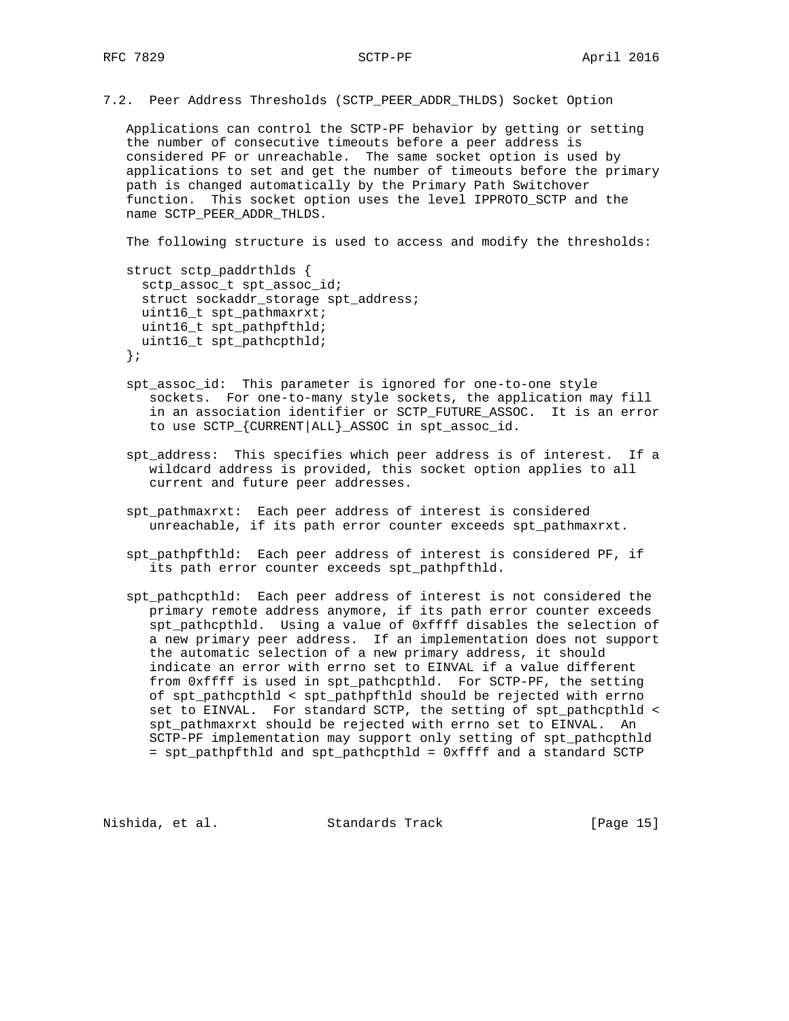7.2. Peer Address Thresholds (SCTP\_PEER\_ADDR\_THLDS) Socket Option

 Applications can control the SCTP-PF behavior by getting or setting the number of consecutive timeouts before a peer address is considered PF or unreachable. The same socket option is used by applications to set and get the number of timeouts before the primary path is changed automatically by the Primary Path Switchover function. This socket option uses the level IPPROTO\_SCTP and the name SCTP\_PEER\_ADDR\_THLDS.

The following structure is used to access and modify the thresholds:

struct sctp paddrthlds { sctp\_assoc\_t spt\_assoc\_id; struct sockaddr\_storage spt\_address; uint16\_t spt\_pathmaxrxt; uint16\_t spt\_pathpfthld; uint16\_t spt\_pathcpthld; };

- spt\_assoc\_id: This parameter is ignored for one-to-one style sockets. For one-to-many style sockets, the application may fill in an association identifier or SCTP\_FUTURE\_ASSOC. It is an error to use SCTP\_{CURRENT|ALL}\_ASSOC in spt\_assoc\_id.
- spt\_address: This specifies which peer address is of interest. If a wildcard address is provided, this socket option applies to all current and future peer addresses.
- spt\_pathmaxrxt: Each peer address of interest is considered unreachable, if its path error counter exceeds spt\_pathmaxrxt.
- spt\_pathpfthld: Each peer address of interest is considered PF, if its path error counter exceeds spt pathpfthld.
- spt\_pathcpthld: Each peer address of interest is not considered the primary remote address anymore, if its path error counter exceeds spt\_pathcpthld. Using a value of 0xffff disables the selection of a new primary peer address. If an implementation does not support the automatic selection of a new primary address, it should indicate an error with errno set to EINVAL if a value different from 0xffff is used in spt\_pathcpthld. For SCTP-PF, the setting of spt\_pathcpthld < spt\_pathpfthld should be rejected with errno set to EINVAL. For standard SCTP, the setting of spt\_pathcpthld < spt\_pathmaxrxt should be rejected with errno set to EINVAL. An SCTP-PF implementation may support only setting of spt\_pathcpthld = spt\_pathpfthld and spt\_pathcpthld = 0xffff and a standard SCTP

Nishida, et al. Standards Track [Page 15]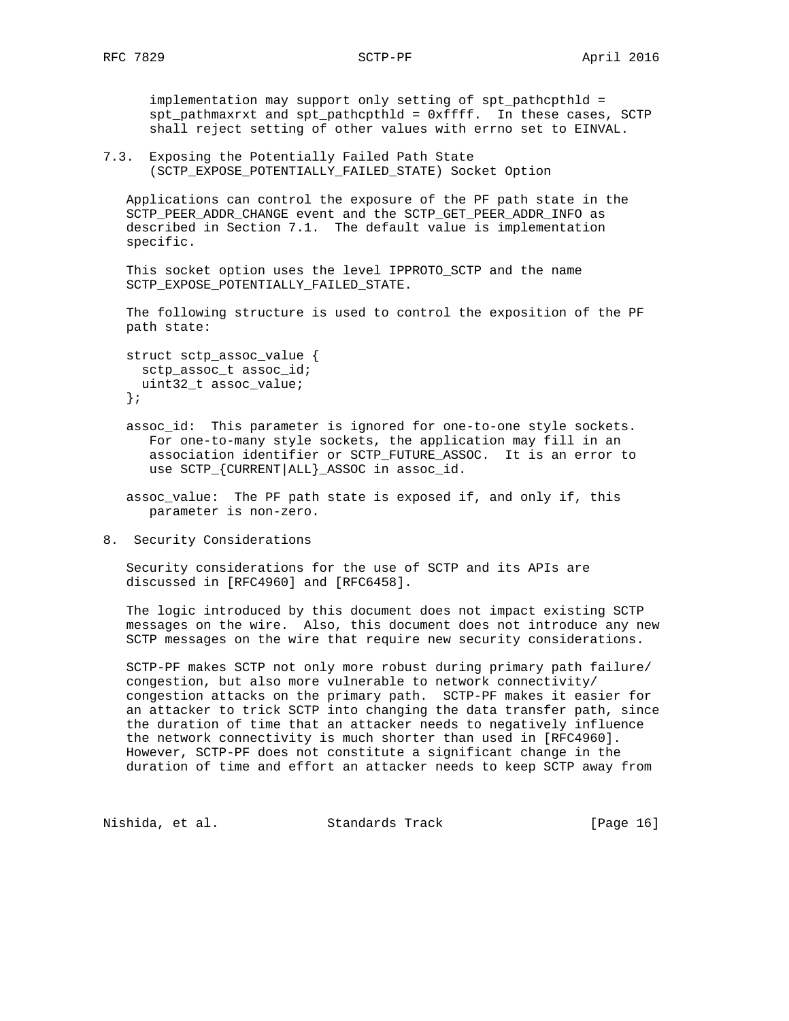implementation may support only setting of spt\_pathcpthld = spt\_pathmaxrxt and spt\_pathcpthld = 0xffff. In these cases, SCTP shall reject setting of other values with errno set to EINVAL.

7.3. Exposing the Potentially Failed Path State (SCTP\_EXPOSE\_POTENTIALLY\_FAILED\_STATE) Socket Option

 Applications can control the exposure of the PF path state in the SCTP\_PEER\_ADDR\_CHANGE event and the SCTP\_GET\_PEER\_ADDR\_INFO as described in Section 7.1. The default value is implementation specific.

This socket option uses the level IPPROTO SCTP and the name SCTP\_EXPOSE\_POTENTIALLY\_FAILED\_STATE.

 The following structure is used to control the exposition of the PF path state:

```
 struct sctp_assoc_value {
 sctp_assoc_t assoc_id;
 uint32_t assoc_value;
};
```
 assoc\_id: This parameter is ignored for one-to-one style sockets. For one-to-many style sockets, the application may fill in an association identifier or SCTP\_FUTURE\_ASSOC. It is an error to use SCTP\_{CURRENT|ALL}\_ASSOC in assoc\_id.

 assoc\_value: The PF path state is exposed if, and only if, this parameter is non-zero.

8. Security Considerations

 Security considerations for the use of SCTP and its APIs are discussed in [RFC4960] and [RFC6458].

 The logic introduced by this document does not impact existing SCTP messages on the wire. Also, this document does not introduce any new SCTP messages on the wire that require new security considerations.

 SCTP-PF makes SCTP not only more robust during primary path failure/ congestion, but also more vulnerable to network connectivity/ congestion attacks on the primary path. SCTP-PF makes it easier for an attacker to trick SCTP into changing the data transfer path, since the duration of time that an attacker needs to negatively influence the network connectivity is much shorter than used in [RFC4960]. However, SCTP-PF does not constitute a significant change in the duration of time and effort an attacker needs to keep SCTP away from

Nishida, et al. Standards Track [Page 16]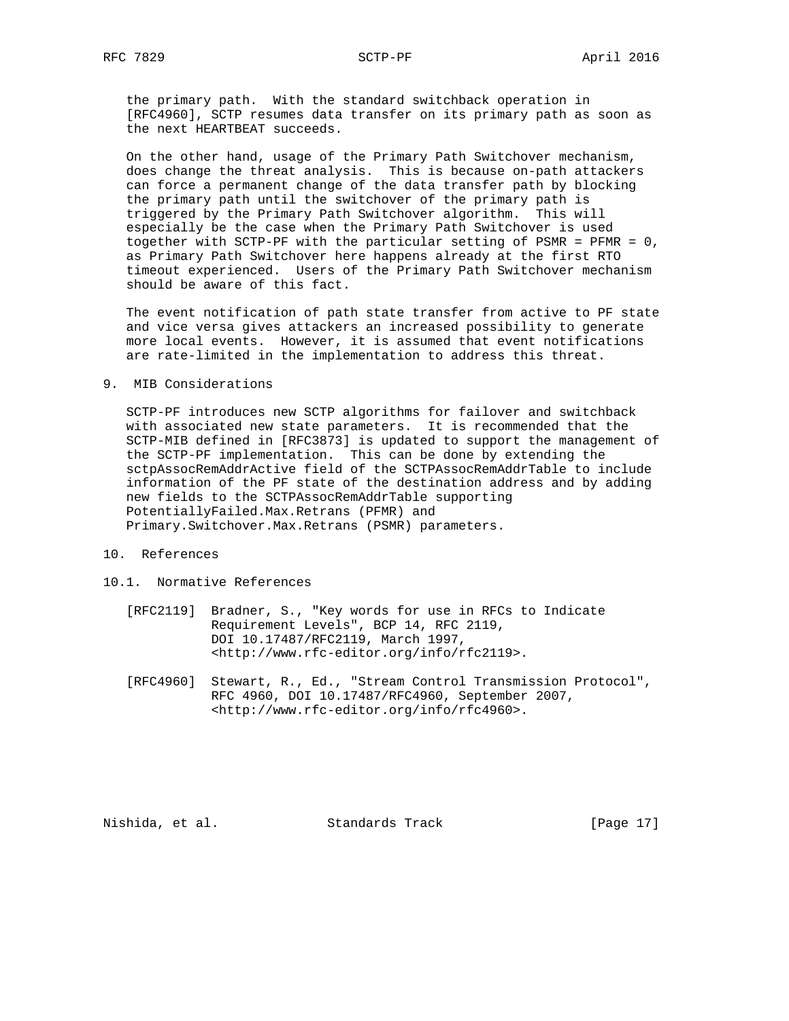the primary path. With the standard switchback operation in [RFC4960], SCTP resumes data transfer on its primary path as soon as the next HEARTBEAT succeeds.

 On the other hand, usage of the Primary Path Switchover mechanism, does change the threat analysis. This is because on-path attackers can force a permanent change of the data transfer path by blocking the primary path until the switchover of the primary path is triggered by the Primary Path Switchover algorithm. This will especially be the case when the Primary Path Switchover is used together with SCTP-PF with the particular setting of PSMR = PFMR = 0, as Primary Path Switchover here happens already at the first RTO timeout experienced. Users of the Primary Path Switchover mechanism should be aware of this fact.

 The event notification of path state transfer from active to PF state and vice versa gives attackers an increased possibility to generate more local events. However, it is assumed that event notifications are rate-limited in the implementation to address this threat.

## 9. MIB Considerations

 SCTP-PF introduces new SCTP algorithms for failover and switchback with associated new state parameters. It is recommended that the SCTP-MIB defined in [RFC3873] is updated to support the management of the SCTP-PF implementation. This can be done by extending the sctpAssocRemAddrActive field of the SCTPAssocRemAddrTable to include information of the PF state of the destination address and by adding new fields to the SCTPAssocRemAddrTable supporting PotentiallyFailed.Max.Retrans (PFMR) and Primary.Switchover.Max.Retrans (PSMR) parameters.

- 10. References
- 10.1. Normative References
	- [RFC2119] Bradner, S., "Key words for use in RFCs to Indicate Requirement Levels", BCP 14, RFC 2119, DOI 10.17487/RFC2119, March 1997, <http://www.rfc-editor.org/info/rfc2119>.
	- [RFC4960] Stewart, R., Ed., "Stream Control Transmission Protocol", RFC 4960, DOI 10.17487/RFC4960, September 2007, <http://www.rfc-editor.org/info/rfc4960>.

Nishida, et al. Standards Track [Page 17]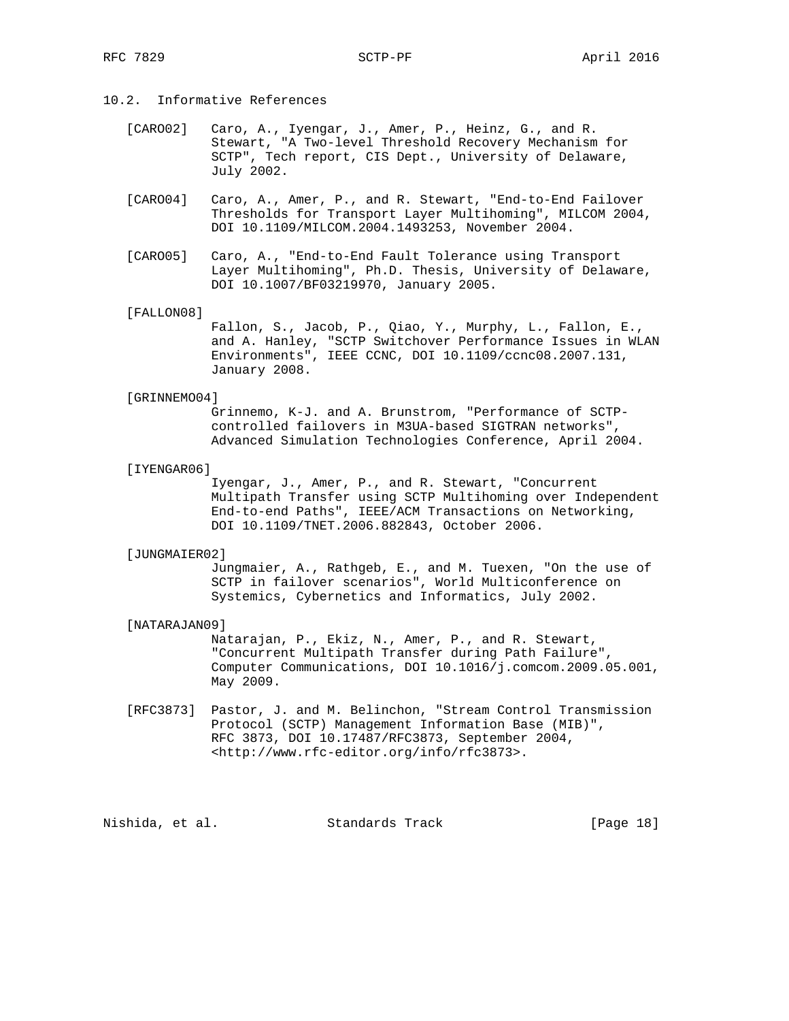## 10.2. Informative References

- [CARO02] Caro, A., Iyengar, J., Amer, P., Heinz, G., and R. Stewart, "A Two-level Threshold Recovery Mechanism for SCTP", Tech report, CIS Dept., University of Delaware, July 2002.
- [CARO04] Caro, A., Amer, P., and R. Stewart, "End-to-End Failover Thresholds for Transport Layer Multihoming", MILCOM 2004, DOI 10.1109/MILCOM.2004.1493253, November 2004.
- [CARO05] Caro, A., "End-to-End Fault Tolerance using Transport Layer Multihoming", Ph.D. Thesis, University of Delaware, DOI 10.1007/BF03219970, January 2005.

#### [FALLON08]

 Fallon, S., Jacob, P., Qiao, Y., Murphy, L., Fallon, E., and A. Hanley, "SCTP Switchover Performance Issues in WLAN Environments", IEEE CCNC, DOI 10.1109/ccnc08.2007.131, January 2008.

#### [GRINNEMO04]

 Grinnemo, K-J. and A. Brunstrom, "Performance of SCTP controlled failovers in M3UA-based SIGTRAN networks", Advanced Simulation Technologies Conference, April 2004.

[IYENGAR06]

 Iyengar, J., Amer, P., and R. Stewart, "Concurrent Multipath Transfer using SCTP Multihoming over Independent End-to-end Paths", IEEE/ACM Transactions on Networking, DOI 10.1109/TNET.2006.882843, October 2006.

### [JUNGMAIER02]

 Jungmaier, A., Rathgeb, E., and M. Tuexen, "On the use of SCTP in failover scenarios", World Multiconference on Systemics, Cybernetics and Informatics, July 2002.

#### [NATARAJAN09]

 Natarajan, P., Ekiz, N., Amer, P., and R. Stewart, "Concurrent Multipath Transfer during Path Failure", Computer Communications, DOI 10.1016/j.comcom.2009.05.001, May 2009.

 [RFC3873] Pastor, J. and M. Belinchon, "Stream Control Transmission Protocol (SCTP) Management Information Base (MIB)", RFC 3873, DOI 10.17487/RFC3873, September 2004, <http://www.rfc-editor.org/info/rfc3873>.

Nishida, et al. Standards Track [Page 18]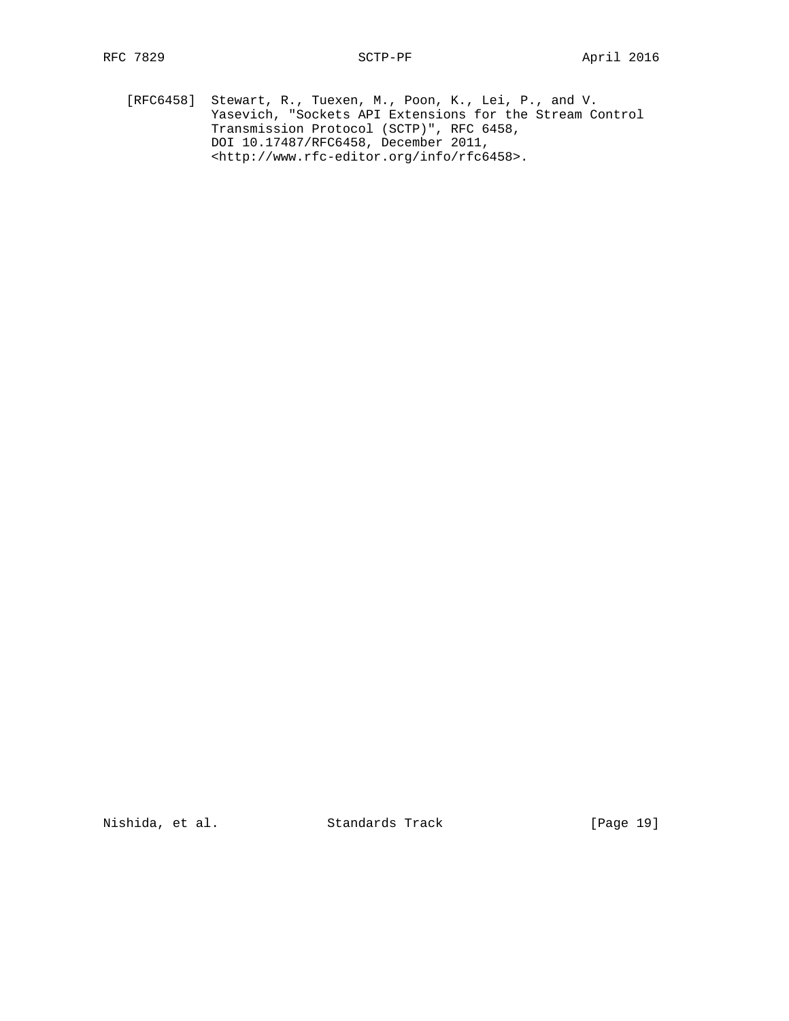[RFC6458] Stewart, R., Tuexen, M., Poon, K., Lei, P., and V. Yasevich, "Sockets API Extensions for the Stream Control Transmission Protocol (SCTP)", RFC 6458, DOI 10.17487/RFC6458, December 2011, <http://www.rfc-editor.org/info/rfc6458>.

Nishida, et al. Standards Track [Page 19]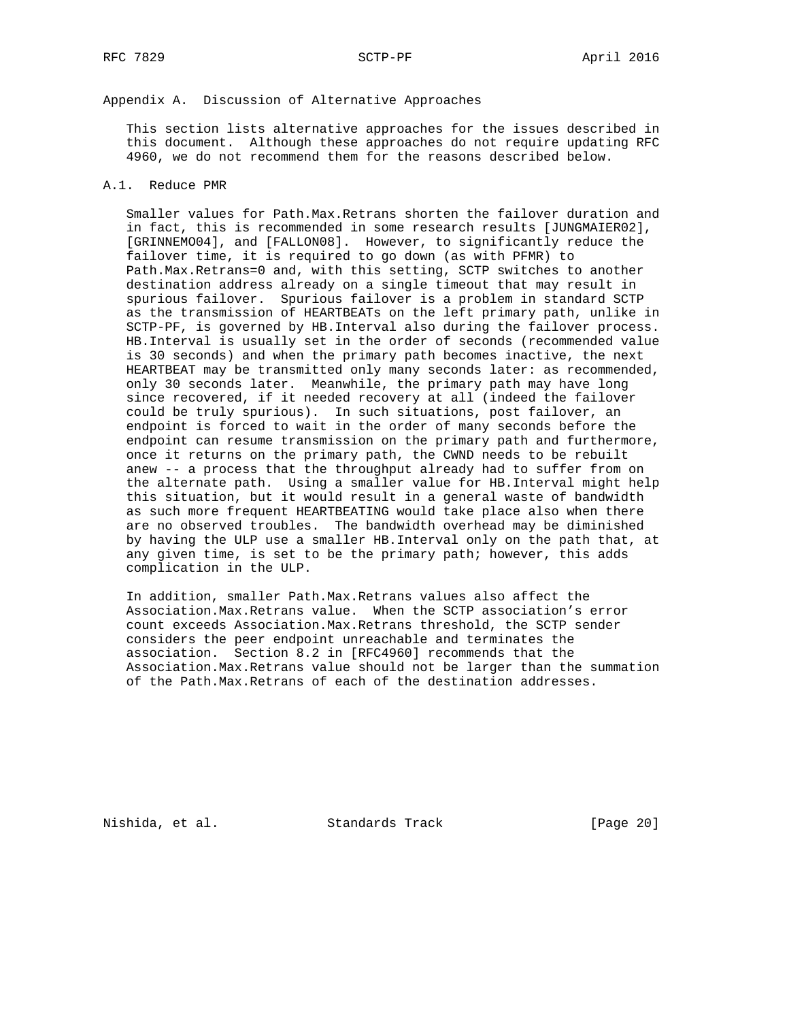# Appendix A. Discussion of Alternative Approaches

 This section lists alternative approaches for the issues described in this document. Although these approaches do not require updating RFC 4960, we do not recommend them for the reasons described below.

## A.1. Reduce PMR

 Smaller values for Path.Max.Retrans shorten the failover duration and in fact, this is recommended in some research results [JUNGMAIER02], [GRINNEMO04], and [FALLON08]. However, to significantly reduce the failover time, it is required to go down (as with PFMR) to Path.Max.Retrans=0 and, with this setting, SCTP switches to another destination address already on a single timeout that may result in spurious failover. Spurious failover is a problem in standard SCTP as the transmission of HEARTBEATs on the left primary path, unlike in SCTP-PF, is governed by HB.Interval also during the failover process. HB.Interval is usually set in the order of seconds (recommended value is 30 seconds) and when the primary path becomes inactive, the next HEARTBEAT may be transmitted only many seconds later: as recommended, only 30 seconds later. Meanwhile, the primary path may have long since recovered, if it needed recovery at all (indeed the failover could be truly spurious). In such situations, post failover, an endpoint is forced to wait in the order of many seconds before the endpoint can resume transmission on the primary path and furthermore, once it returns on the primary path, the CWND needs to be rebuilt anew -- a process that the throughput already had to suffer from on the alternate path. Using a smaller value for HB.Interval might help this situation, but it would result in a general waste of bandwidth as such more frequent HEARTBEATING would take place also when there are no observed troubles. The bandwidth overhead may be diminished by having the ULP use a smaller HB.Interval only on the path that, at any given time, is set to be the primary path; however, this adds complication in the ULP.

 In addition, smaller Path.Max.Retrans values also affect the Association.Max.Retrans value. When the SCTP association's error count exceeds Association.Max.Retrans threshold, the SCTP sender considers the peer endpoint unreachable and terminates the association. Section 8.2 in [RFC4960] recommends that the Association.Max.Retrans value should not be larger than the summation of the Path.Max.Retrans of each of the destination addresses.

Nishida, et al. Standards Track [Page 20]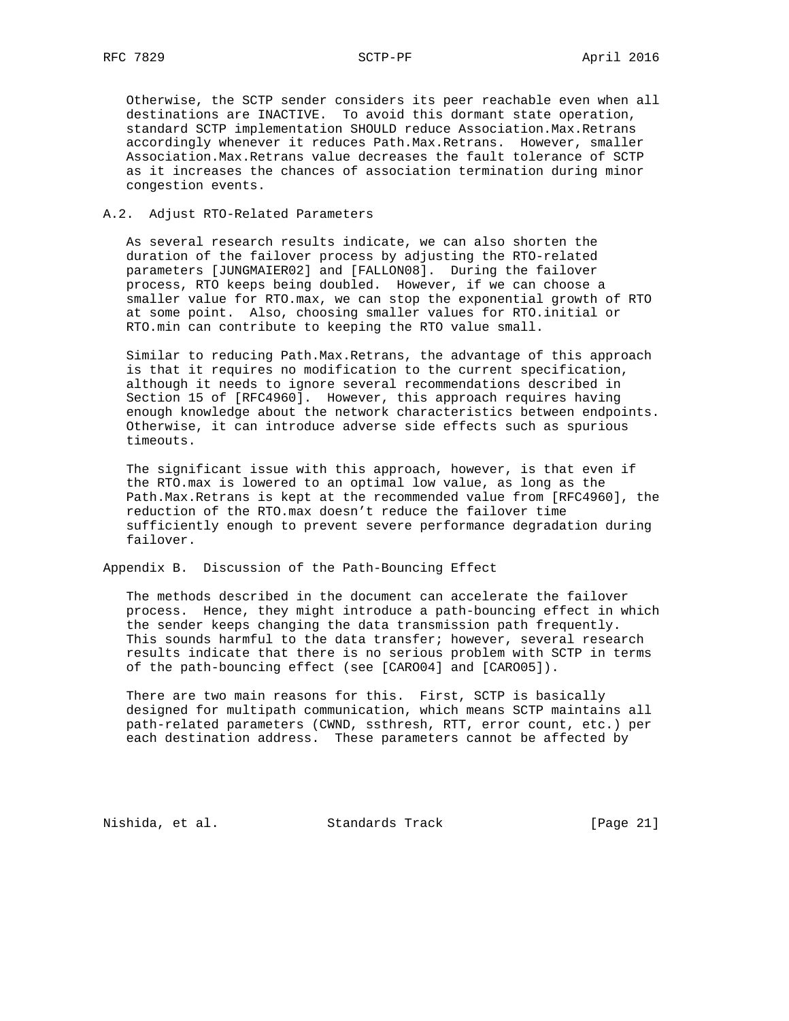Otherwise, the SCTP sender considers its peer reachable even when all destinations are INACTIVE. To avoid this dormant state operation, standard SCTP implementation SHOULD reduce Association.Max.Retrans accordingly whenever it reduces Path.Max.Retrans. However, smaller Association.Max.Retrans value decreases the fault tolerance of SCTP as it increases the chances of association termination during minor congestion events.

## A.2. Adjust RTO-Related Parameters

 As several research results indicate, we can also shorten the duration of the failover process by adjusting the RTO-related parameters [JUNGMAIER02] and [FALLON08]. During the failover process, RTO keeps being doubled. However, if we can choose a smaller value for RTO.max, we can stop the exponential growth of RTO at some point. Also, choosing smaller values for RTO.initial or RTO.min can contribute to keeping the RTO value small.

 Similar to reducing Path.Max.Retrans, the advantage of this approach is that it requires no modification to the current specification, although it needs to ignore several recommendations described in Section 15 of [RFC4960]. However, this approach requires having enough knowledge about the network characteristics between endpoints. Otherwise, it can introduce adverse side effects such as spurious timeouts.

 The significant issue with this approach, however, is that even if the RTO.max is lowered to an optimal low value, as long as the Path.Max.Retrans is kept at the recommended value from [RFC4960], the reduction of the RTO.max doesn't reduce the failover time sufficiently enough to prevent severe performance degradation during failover.

Appendix B. Discussion of the Path-Bouncing Effect

 The methods described in the document can accelerate the failover process. Hence, they might introduce a path-bouncing effect in which the sender keeps changing the data transmission path frequently. This sounds harmful to the data transfer; however, several research results indicate that there is no serious problem with SCTP in terms of the path-bouncing effect (see [CARO04] and [CARO05]).

There are two main reasons for this. First, SCTP is basically designed for multipath communication, which means SCTP maintains all path-related parameters (CWND, ssthresh, RTT, error count, etc.) per each destination address. These parameters cannot be affected by

Nishida, et al. Standards Track [Page 21]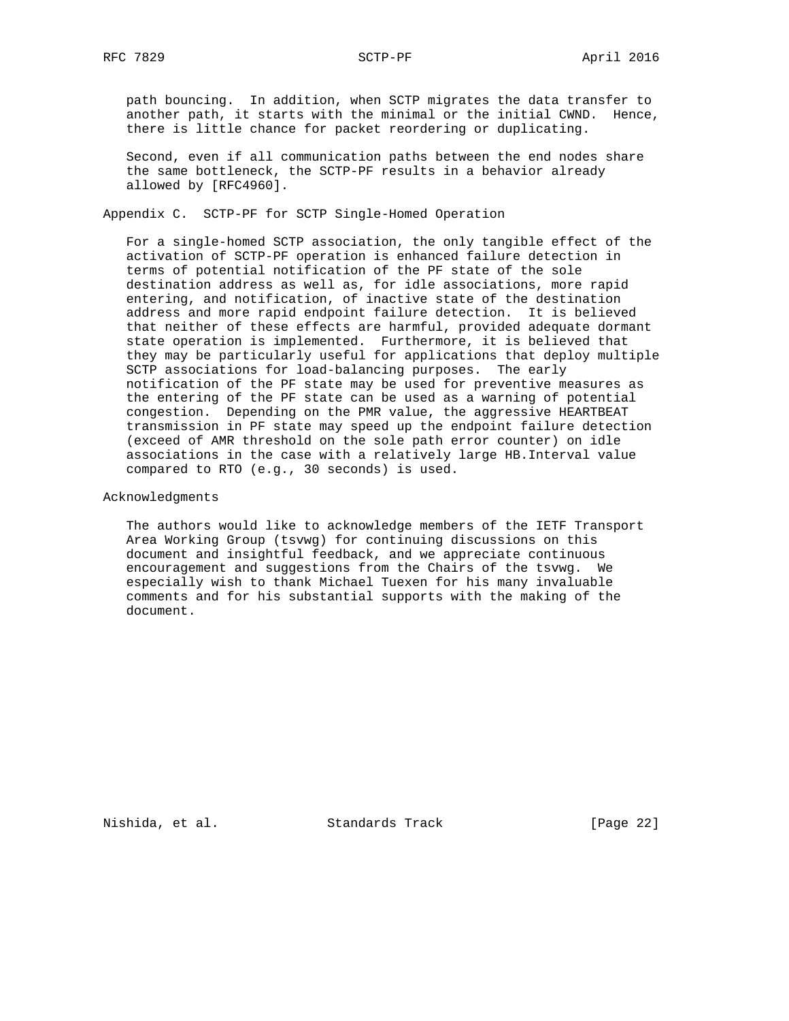path bouncing. In addition, when SCTP migrates the data transfer to another path, it starts with the minimal or the initial CWND. Hence, there is little chance for packet reordering or duplicating.

 Second, even if all communication paths between the end nodes share the same bottleneck, the SCTP-PF results in a behavior already allowed by [RFC4960].

Appendix C. SCTP-PF for SCTP Single-Homed Operation

 For a single-homed SCTP association, the only tangible effect of the activation of SCTP-PF operation is enhanced failure detection in terms of potential notification of the PF state of the sole destination address as well as, for idle associations, more rapid entering, and notification, of inactive state of the destination address and more rapid endpoint failure detection. It is believed that neither of these effects are harmful, provided adequate dormant state operation is implemented. Furthermore, it is believed that they may be particularly useful for applications that deploy multiple SCTP associations for load-balancing purposes. The early notification of the PF state may be used for preventive measures as the entering of the PF state can be used as a warning of potential congestion. Depending on the PMR value, the aggressive HEARTBEAT transmission in PF state may speed up the endpoint failure detection (exceed of AMR threshold on the sole path error counter) on idle associations in the case with a relatively large HB.Interval value compared to RTO (e.g., 30 seconds) is used.

Acknowledgments

 The authors would like to acknowledge members of the IETF Transport Area Working Group (tsvwg) for continuing discussions on this document and insightful feedback, and we appreciate continuous encouragement and suggestions from the Chairs of the tsvwg. We especially wish to thank Michael Tuexen for his many invaluable comments and for his substantial supports with the making of the document.

Nishida, et al. Standards Track [Page 22]